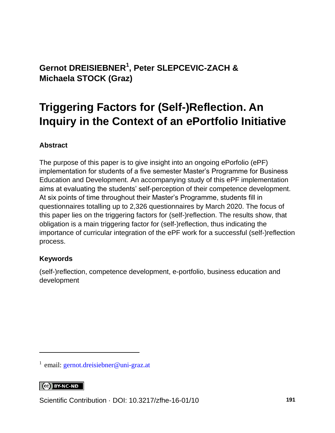### **Gernot DREISIEBNER<sup>1</sup> , Peter SLEPCEVIC-ZACH & Michaela STOCK (Graz)**

## **Triggering Factors for (Self-)Reflection. An Inquiry in the Context of an ePortfolio Initiative**

#### **Abstract**

The purpose of this paper is to give insight into an ongoing ePorfolio (ePF) implementation for students of a five semester Master's Programme for Business Education and Development. An accompanying study of this ePF implementation aims at evaluating the students' self-perception of their competence development. At six points of time throughout their Master's Programme, students fill in questionnaires totalling up to 2,326 questionnaires by March 2020. The focus of this paper lies on the triggering factors for (self-)reflection. The results show, that obligation is a main triggering factor for (self-)reflection, thus indicating the importance of curricular integration of the ePF work for a successful (self-)reflection process.

#### **Keywords**

(self-)reflection, competence development, e-portfolio, business education and development

#### $\left[\begin{array}{cc} \text{CC} \end{array}\right]$  BY-NC-ND

l

Scientific Contribution · DOI: [10.3217/zfhe-16-01/10](https://doi.org/10.3217/zfhe-16-01/10) **191**

<sup>&</sup>lt;sup>1</sup> email: [gernot.dreisiebner@uni-graz.at](mailto:gernot.dreisiebner@uni-graz.at)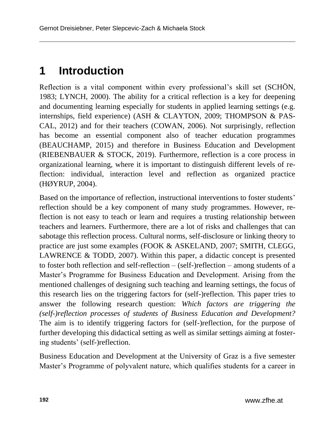## **1 Introduction**

Reflection is a vital component within every professional's skill set (SCHÖN, 1983; LYNCH, 2000). The ability for a critical reflection is a key for deepening and documenting learning especially for students in applied learning settings (e.g. internships, field experience) (ASH & CLAYTON, 2009; THOMPSON & PAS-CAL, 2012) and for their teachers (COWAN, 2006). Not surprisingly, reflection has become an essential component also of teacher education programmes (BEAUCHAMP, 2015) and therefore in Business Education and Development (RIEBENBAUER & STOCK, 2019). Furthermore, reflection is a core process in organizational learning, where it is important to distinguish different levels of reflection: individual, interaction level and reflection as organized practice (HØYRUP, 2004).

Based on the importance of reflection, instructional interventions to foster students' reflection should be a key component of many study programmes. However, reflection is not easy to teach or learn and requires a trusting relationship between teachers and learners. Furthermore, there are a lot of risks and challenges that can sabotage this reflection process. Cultural norms, self-disclosure or linking theory to practice are just some examples (FOOK & ASKELAND, 2007; SMITH, CLEGG, LAWRENCE  $&$  TODD, 2007). Within this paper, a didactic concept is presented to foster both reflection and self-reflection – (self-)reflection – among students of a Master's Programme for Business Education and Development. Arising from the mentioned challenges of designing such teaching and learning settings, the focus of this research lies on the triggering factors for (self-)reflection. This paper tries to answer the following research question: *Which factors are triggering the (self-)reflection processes of students of Business Education and Development?*  The aim is to identify triggering factors for (self-)reflection, for the purpose of further developing this didactical setting as well as similar settings aiming at fostering students' (self-)reflection.

Business Education and Development at the University of Graz is a five semester Master's Programme of polyvalent nature, which qualifies students for a career in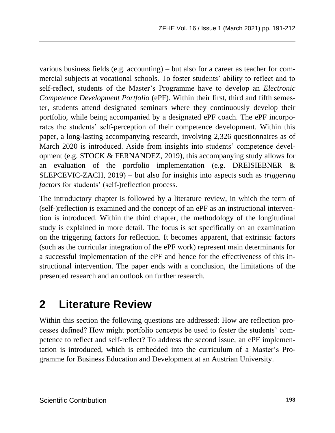various business fields (e.g. accounting) – but also for a career as teacher for commercial subjects at vocational schools. To foster students' ability to reflect and to self-reflect, students of the Master's Programme have to develop an *Electronic Competence Development Portfolio* (ePF). Within their first, third and fifth semester, students attend designated seminars where they continuously develop their portfolio, while being accompanied by a designated ePF coach. The ePF incorporates the students' self-perception of their competence development. Within this paper, a long-lasting accompanying research, involving 2,326 questionnaires as of March 2020 is introduced. Aside from insights into students' competence development (e.g. STOCK & FERNANDEZ, 2019), this accompanying study allows for an evaluation of the portfolio implementation (e.g. DREISIEBNER & SLEPCEVIC-ZACH, 2019) – but also for insights into aspects such as *triggering factors* for students' (self-)reflection process.

The introductory chapter is followed by a literature review, in which the term of (self-)reflection is examined and the concept of an ePF as an instructional intervention is introduced. Within the third chapter, the methodology of the longitudinal study is explained in more detail. The focus is set specifically on an examination on the triggering factors for reflection. It becomes apparent, that extrinsic factors (such as the curricular integration of the ePF work) represent main determinants for a successful implementation of the ePF and hence for the effectiveness of this instructional intervention. The paper ends with a conclusion, the limitations of the presented research and an outlook on further research.

### **2 Literature Review**

Within this section the following questions are addressed: How are reflection processes defined? How might portfolio concepts be used to foster the students' competence to reflect and self-reflect? To address the second issue, an ePF implementation is introduced, which is embedded into the curriculum of a Master's Programme for Business Education and Development at an Austrian University.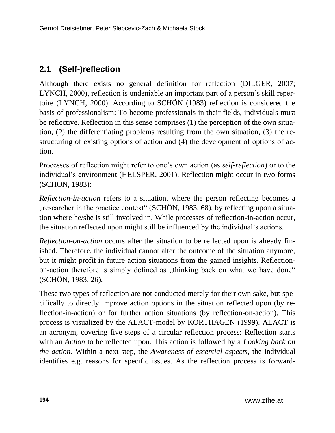### **2.1 (Self-)reflection**

Although there exists no general definition for reflection (DILGER, 2007; LYNCH, 2000), reflection is undeniable an important part of a person's skill repertoire (LYNCH, 2000). According to SCHÖN (1983) reflection is considered the basis of professionalism: To become professionals in their fields, individuals must be reflective. Reflection in this sense comprises (1) the perception of the own situation, (2) the differentiating problems resulting from the own situation, (3) the restructuring of existing options of action and (4) the development of options of action.

Processes of reflection might refer to one's own action (as *self-reflection*) or to the individual's environment (HELSPER, 2001). Reflection might occur in two forms (SCHÖN, 1983):

*Reflection-in-action* refers to a situation, where the person reflecting becomes a "researcher in the practice context" (SCHÖN, 1983, 68), by reflecting upon a situation where he/she is still involved in. While processes of reflection-in-action occur, the situation reflected upon might still be influenced by the individual's actions.

*Reflection-on-action* occurs after the situation to be reflected upon is already finished. Therefore, the individual cannot alter the outcome of the situation anymore, but it might profit in future action situations from the gained insights. Reflectionon-action therefore is simply defined as "thinking back on what we have done" (SCHÖN, 1983, 26).

These two types of reflection are not conducted merely for their own sake, but specifically to directly improve action options in the situation reflected upon (by reflection-in-action) or for further action situations (by reflection-on-action). This process is visualized by the ALACT-model by KORTHAGEN (1999). ALACT is an acronym, covering five steps of a circular reflection process: Reflection starts with an *Action* to be reflected upon. This action is followed by a *Looking back on the action*. Within a next step, the *Awareness of essential aspects*, the individual identifies e.g. reasons for specific issues. As the reflection process is forward-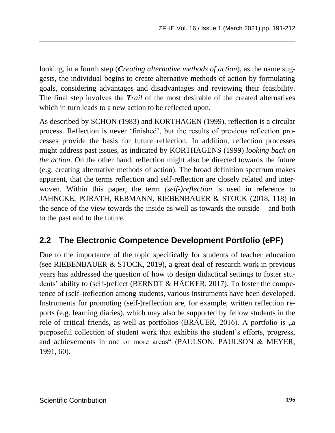looking, in a fourth step (*Creating alternative methods of action*), as the name suggests, the individual begins to create alternative methods of action by formulating goals, considering advantages and disadvantages and reviewing their feasibility. The final step involves the *Trail* of the most desirable of the created alternatives which in turn leads to a new action to be reflected upon.

As described by SCHÖN (1983) and KORTHAGEN (1999), reflection is a circular process. Reflection is never 'finished', but the results of previous reflection processes provide the basis for future reflection. In addition, reflection processes might address past issues, as indicated by KORTHAGENS (1999) *looking back on the action*. On the other hand, reflection might also be directed towards the future (e.g. creating alternative methods of action). The broad definition spectrum makes apparent, that the terms reflection and self-reflection are closely related and interwoven. Within this paper, the term *(self-)reflection* is used in reference to JAHNCKE, PORATH, REBMANN, RIEBENBAUER & STOCK (2018, 118) in the sence of the view towards the inside as well as towards the outside – and both to the past and to the future.

### **2.2 The Electronic Competence Development Portfolio (ePF)**

Due to the importance of the topic specifically for students of teacher education (see RIEBENBAUER & STOCK, 2019), a great deal of research work in previous years has addressed the question of how to design didactical settings to foster students' ability to (self-)reflect (BERNDT & HÄCKER, 2017). To foster the competence of (self-)reflection among students, various instruments have been developed. Instruments for promoting (self-)reflection are, for example, written reflection reports (e.g. learning diaries), which may also be supported by fellow students in the role of critical friends, as well as portfolios (BRÄUER, 2016). A portfolio is "a purposeful collection of student work that exhibits the student's efforts, progress, and achievements in one or more areas" (PAULSON, PAULSON & MEYER, 1991, 60).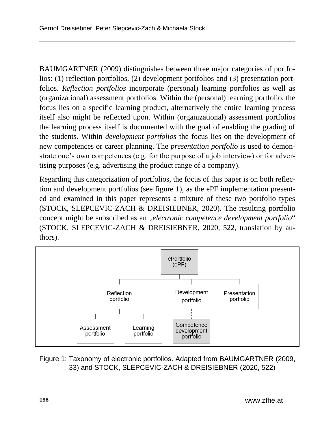BAUMGARTNER (2009) distinguishes between three major categories of portfolios: (1) reflection portfolios, (2) development portfolios and (3) presentation portfolios. *Reflection portfolios* incorporate (personal) learning portfolios as well as (organizational) assessment portfolios. Within the (personal) learning portfolio, the focus lies on a specific learning product, alternatively the entire learning process itself also might be reflected upon. Within (organizational) assessment portfolios the learning process itself is documented with the goal of enabling the grading of the students. Within *development portfolios* the focus lies on the development of new competences or career planning. The *presentation portfolio* is used to demonstrate one's own competences (e.g. for the purpose of a job interview) or for advertising purposes (e.g. advertising the product range of a company).

Regarding this categorization of portfolios, the focus of this paper is on both reflection and development portfolios (see figure 1), as the ePF implementation presented and examined in this paper represents a mixture of these two portfolio types (STOCK, SLEPCEVIC-ZACH & DREISIEBNER, 2020). The resulting portfolio concept might be subscribed as an "*electronic competence development portfolio*" (STOCK, SLEPCEVIC-ZACH & DREISIEBNER, 2020, 522, translation by authors).



Figure 1: Taxonomy of electronic portfolios. Adapted from BAUMGARTNER (2009, 33) and STOCK, SLEPCEVIC-ZACH & DREISIEBNER (2020, 522)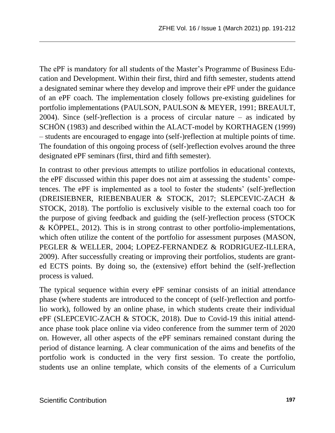The ePF is mandatory for all students of the Master's Programme of Business Education and Development. Within their first, third and fifth semester, students attend a designated seminar where they develop and improve their ePF under the guidance of an ePF coach. The implementation closely follows pre-existing guidelines for portfolio implementations (PAULSON, PAULSON & MEYER, 1991; BREAULT, 2004). Since (self-)reflection is a process of circular nature – as indicated by SCHÖN (1983) and described within the ALACT-model by KORTHAGEN (1999) – students are encouraged to engage into (self-)reflection at multiple points of time. The foundation of this ongoing process of (self-)reflection evolves around the three designated ePF seminars (first, third and fifth semester).

In contrast to other previous attempts to utilize portfolios in educational contexts, the ePF discussed within this paper does not aim at assessing the students' competences. The ePF is implemented as a tool to foster the students' (self-)reflection (DREISIEBNER, RIEBENBAUER & STOCK, 2017; SLEPCEVIC-ZACH & STOCK, 2018). The portfolio is exclusively visible to the external coach too for the purpose of giving feedback and guiding the (self-)reflection process (STOCK & KÖPPEL, 2012). This is in strong contrast to other portfolio-implementations, which often utilize the content of the portfolio for assessment purposes (MASON, PEGLER & WELLER, 2004; LOPEZ-FERNANDEZ & RODRIGUEZ-ILLERA, 2009). After successfully creating or improving their portfolios, students are granted ECTS points. By doing so, the (extensive) effort behind the (self-)reflection process is valued.

The typical sequence within every ePF seminar consists of an initial attendance phase (where students are introduced to the concept of (self-)reflection and portfolio work), followed by an online phase, in which students create their individual ePF (SLEPCEVIC-ZACH & STOCK, 2018). Due to Covid-19 this initial attendance phase took place online via video conference from the summer term of 2020 on. However, all other aspects of the ePF seminars remained constant during the period of distance learning. A clear communication of the aims and benefits of the portfolio work is conducted in the very first session. To create the portfolio, students use an online template, which consits of the elements of a Curriculum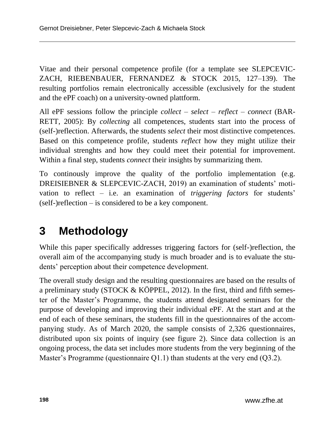Vitae and their personal competence profile (for a template see SLEPCEVIC-ZACH, RIEBENBAUER, FERNANDEZ & STOCK 2015, 127–139). The resulting portfolios remain electronically accessible (exclusively for the student and the ePF coach) on a university-owned plattform.

All ePF sessions follow the principle *collect – select – reflect – connect* (BAR-RETT, 2005): By *collecting* all competences, students start into the process of (self-)reflection. Afterwards, the students *select* their most distinctive competences. Based on this competence profile, students *reflect* how they might utilize their individual strenghts and how they could meet their potential for improvement. Within a final step, students *connect* their insights by summarizing them.

To continously improve the quality of the portfolio implementation (e.g. DREISIEBNER & SLEPCEVIC-ZACH, 2019) an examination of students' motivation to reflect – i.e. an examination of *triggering factors* for students' (self-)reflection – is considered to be a key component.

# **3 Methodology**

While this paper specifically addresses triggering factors for (self-)reflection, the overall aim of the accompanying study is much broader and is to evaluate the students' perception about their competence development.

The overall study design and the resulting questionnaires are based on the results of a preliminary study (STOCK & KÖPPEL, 2012). In the first, third and fifth semester of the Master's Programme, the students attend designated seminars for the purpose of developing and improving their individual ePF. At the start and at the end of each of these seminars, the students fill in the questionnaires of the accompanying study. As of March 2020, the sample consists of 2,326 questionnaires, distributed upon six points of inquiry (see figure 2). Since data collection is an ongoing process, the data set includes more students from the very beginning of the Master's Programme (questionnaire Q1.1) than students at the very end (Q3.2).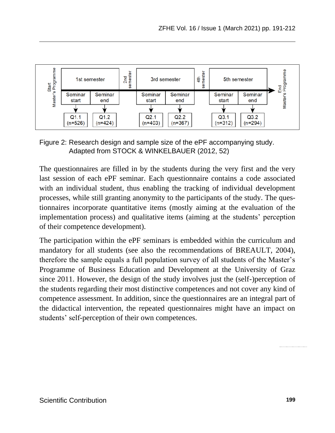

Figure 2: Research design and sample size of the ePF accompanying study. Adapted from STOCK & WINKELBAUER (2012, 52)

The questionnaires are filled in by the students during the very first and the very last session of each ePF seminar. Each questionnaire contains a code associated with an individual student, thus enabling the tracking of individual development processes, while still granting anonymity to the participants of the study. The questionnaires incorporate quantitative items (mostly aiming at the evaluation of the implementation process) and qualitative items (aiming at the students' perception of their competence development).

The participation within the ePF seminars is embedded within the curriculum and mandatory for all students (see also the recommendations of BREAULT, 2004), therefore the sample equals a full population survey of all students of the Master's Programme of Business Education and Development at the University of Graz since 2011. However, the design of the study involves just the (self-)perception of the students regarding their most distinctive competences and not cover any kind of competence assessment. In addition, since the questionnaires are an integral part of the didactical intervention, the repeated questionnaires might have an impact on students' self-perception of their own competences.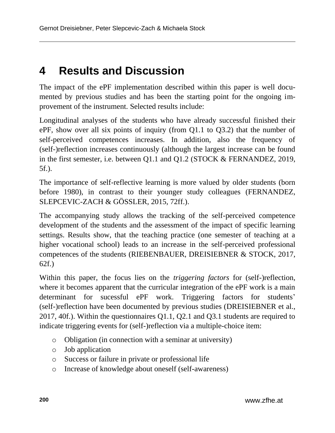## **4 Results and Discussion**

The impact of the ePF implementation described within this paper is well documented by previous studies and has been the starting point for the ongoing improvement of the instrument. Selected results include:

Longitudinal analyses of the students who have already successful finished their ePF, show over all six points of inquiry (from Q1.1 to Q3.2) that the number of self-perceived competences increases. In addition, also the frequency of (self-)reflection increases continuously (although the largest increase can be found in the first semester, i.e. between Q1.1 and Q1.2 (STOCK & FERNANDEZ, 2019, 5f.).

The importance of self-reflective learning is more valued by older students (born before 1980), in contrast to their younger study colleagues (FERNANDEZ, SLEPCEVIC-ZACH & GÖSSLER, 2015, 72ff.).

The accompanying study allows the tracking of the self-perceived competence development of the students and the assessment of the impact of specific learning settings. Results show, that the teaching practice (one semester of teaching at a higher vocational school) leads to an increase in the self-perceived professional competences of the students (RIEBENBAUER, DREISIEBNER & STOCK, 2017, 62f.)

Within this paper, the focus lies on the *triggering factors* for (self-)reflection, where it becomes apparent that the curricular integration of the ePF work is a main determinant for sucessful ePF work. Triggering factors for students' (self-)reflection have been documented by previous studies (DREISIEBNER et al., 2017, 40f.). Within the questionnaires Q1.1, Q2.1 and Q3.1 students are required to indicate triggering events for (self-)reflection via a multiple-choice item:

- o Obligation (in connection with a seminar at university)
- o Job application
- o Success or failure in private or professional life
- o Increase of knowledge about oneself (self-awareness)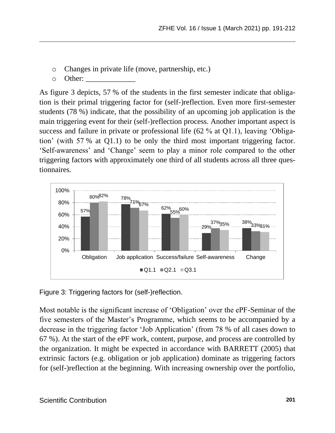- o Changes in private life (move, partnership, etc.)
- o Other:

As figure 3 depicts, 57 % of the students in the first semester indicate that obligation is their primal triggering factor for (self-)reflection. Even more first-semester students (78 %) indicate, that the possibility of an upcoming job application is the main triggering event for their (self-)reflection process. Another important aspect is success and failure in private or professional life (62 % at Q1.1), leaving 'Obligation' (with 57 % at Q1.1) to be only the third most important triggering factor. 'Self-awareness' and 'Change' seem to play a minor role compared to the other triggering factors with approximately one third of all students across all three questionnaires.



Figure 3: Triggering factors for (self-)reflection.

Most notable is the significant increase of 'Obligation' over the ePF-Seminar of the five semesters of the Master's Programme, which seems to be accompanied by a decrease in the triggering factor 'Job Application' (from 78 % of all cases down to 67 %). At the start of the ePF work, content, purpose, and process are controlled by the organization. It might be expected in accordance with BARRETT (2005) that extrinsic factors (e.g. obligation or job application) dominate as triggering factors for (self-)reflection at the beginning. With increasing ownership over the portfolio,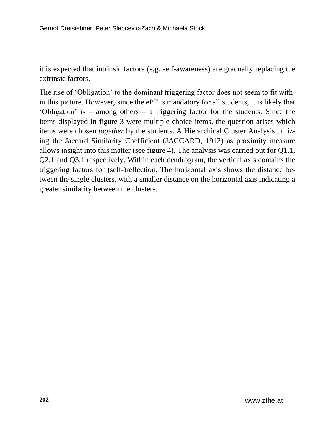it is expected that intrinsic factors (e.g. self-awareness) are gradually replacing the extrinsic factors.

The rise of 'Obligation' to the dominant triggering factor does not seem to fit within this picture. However, since the ePF is mandatory for all students, it is likely that 'Obligation' is – among others – a triggering factor for the students. Since the items displayed in figure 3 were multiple choice items, the question arises which items were chosen *together* by the students. A Hierarchical Cluster Analysis utilizing the Jaccard Similarity Coefficient (JACCARD, 1912) as proximity measure allows insight into this matter (see figure 4). The analysis was carried out for Q1.1, Q2.1 and Q3.1 respectively. Within each dendrogram, the vertical axis contains the triggering factors for (self-)reflection. The horizontal axis shows the distance between the single clusters, with a smaller distance on the horizontal axis indicating a greater similarity between the clusters.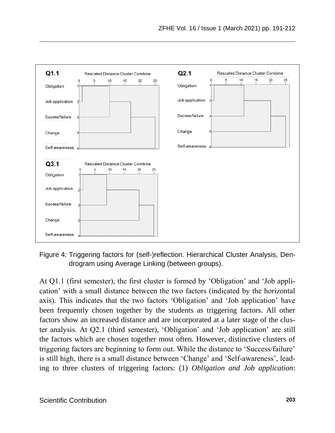

Figure 4: Triggering factors for (self-)reflection. Hierarchical Cluster Analysis, Dendrogram using Average Linking (between groups).

At Q1.1 (first semester), the first cluster is formed by 'Obligation' and 'Job application' with a small distance between the two factors (indicated by the horizontal axis). This indicates that the two factors 'Obligation' and 'Job application' have been frequently chosen together by the students as triggering factors. All other factors show an increased distance and are incorporated at a later stage of the cluster analysis. At Q2.1 (third semester), 'Obligation' and 'Job application' are still the factors which are chosen together most often. However, distinctive clusters of triggering factors are beginning to form out. While the distance to 'Success/failure' is still high, there is a small distance between 'Change' and 'Self-awareness', leading to three clusters of triggering factors: (1) *Obligation and Job application*: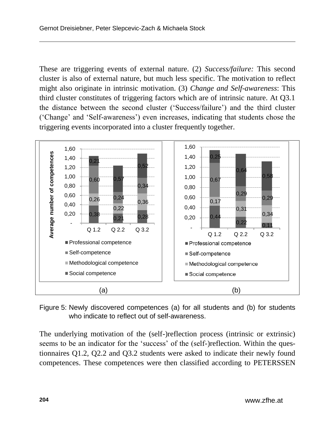These are triggering events of external nature. (2) *Success/failure:* This second cluster is also of external nature, but much less specific. The motivation to reflect might also originate in intrinsic motivation. (3) *Change and Self-awareness*: This third cluster constitutes of triggering factors which are of intrinsic nature. At Q3.1 the distance between the second cluster ('Success/failure') and the third cluster ('Change' and 'Self-awareness') even increases, indicating that students chose the triggering events incorporated into a cluster frequently together.



Figure 5: Newly discovered competences (a) for all students and (b) for students who indicate to reflect out of self-awareness.

The underlying motivation of the (self-)reflection process (intrinsic or extrinsic) seems to be an indicator for the 'success' of the (self-)reflection. Within the questionnaires Q1.2, Q2.2 and Q3.2 students were asked to indicate their newly found competences. These competences were then classified according to PETERSSEN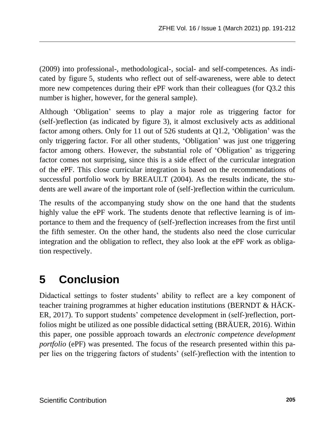(2009) into professional-, methodological-, social- and self-competences. As indicated by figure 5, students who reflect out of self-awareness, were able to detect more new competences during their ePF work than their colleagues (for Q3.2 this number is higher, however, for the general sample).

Although 'Obligation' seems to play a major role as triggering factor for (self-)reflection (as indicated by figure 3), it almost exclusively acts as additional factor among others. Only for 11 out of 526 students at Q1.2, 'Obligation' was the only triggering factor. For all other students, 'Obligation' was just one triggering factor among others. However, the substantial role of 'Obligation' as triggering factor comes not surprising, since this is a side effect of the curricular integration of the ePF. This close curricular integration is based on the recommendations of successful portfolio work by BREAULT (2004). As the results indicate, the students are well aware of the important role of (self-)reflection within the curriculum.

The results of the accompanying study show on the one hand that the students highly value the ePF work. The students denote that reflective learning is of importance to them and the frequency of (self-)reflection increases from the first until the fifth semester. On the other hand, the students also need the close curricular integration and the obligation to reflect, they also look at the ePF work as obligation respectively.

### **5 Conclusion**

Didactical settings to foster students' ability to reflect are a key component of teacher training programmes at higher education institutions (BERNDT & HÄCK-ER, 2017). To support students' competence development in (self-)reflection, portfolios might be utilized as one possible didactical setting (BRÄUER, 2016). Within this paper, one possible approach towards an *electronic competence development portfolio* (ePF) was presented. The focus of the research presented within this paper lies on the triggering factors of students' (self-)reflection with the intention to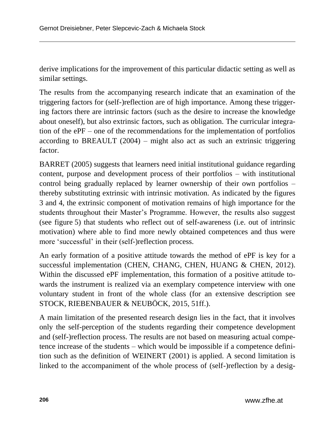derive implications for the improvement of this particular didactic setting as well as similar settings.

The results from the accompanying research indicate that an examination of the triggering factors for (self-)reflection are of high importance. Among these triggering factors there are intrinsic factors (such as the desire to increase the knowledge about oneself), but also extrinsic factors, such as obligation. The curricular integration of the ePF – one of the recommendations for the implementation of portfolios according to BREAULT (2004) – might also act as such an extrinsic triggering factor.

BARRET (2005) suggests that learners need initial institutional guidance regarding content, purpose and development process of their portfolios – with institutional control being gradually replaced by learner ownership of their own portfolios – thereby substituting extrinsic with intrinsic motivation. As indicated by the figures 3 and 4, the extrinsic component of motivation remains of high importance for the students throughout their Master's Programme. However, the results also suggest (see figure 5) that students who reflect out of self-awareness (i.e. out of intrinsic motivation) where able to find more newly obtained competences and thus were more 'successful' in their (self-)reflection process.

An early formation of a positive attitude towards the method of ePF is key for a successful implementation (CHEN, CHANG, CHEN, HUANG & CHEN, 2012). Within the discussed ePF implementation, this formation of a positive attitude towards the instrument is realized via an exemplary competence interview with one voluntary student in front of the whole class (for an extensive description see STOCK, RIEBENBAUER & NEUBÖCK, 2015, 51ff.).

A main limitation of the presented research design lies in the fact, that it involves only the self-perception of the students regarding their competence development and (self-)reflection process. The results are not based on measuring actual competence increase of the students – which would be impossible if a competence definition such as the definition of WEINERT (2001) is applied. A second limitation is linked to the accompaniment of the whole process of (self-)reflection by a desig-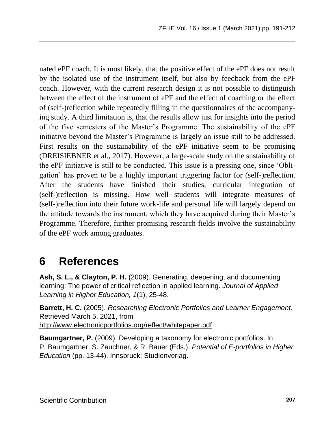nated ePF coach. It is most likely, that the positive effect of the ePF does not result by the isolated use of the instrument itself, but also by feedback from the ePF coach. However, with the current research design it is not possible to distinguish between the effect of the instrument of ePF and the effect of coaching or the effect of (self-)reflection while repeatedly filling in the questionnaires of the accompanying study. A third limitation is, that the results allow just for insights into the period of the five semesters of the Master's Programme. The sustainability of the ePF initiative beyond the Master's Programme is largely an issue still to be addressed. First results on the sustainability of the ePF initiative seem to be promising (DREISIEBNER et al., 2017). However, a large-scale study on the sustainability of the ePF initiative is still to be conducted. This issue is a pressing one, since 'Obligation' has proven to be a highly important triggering factor for (self-)reflection. After the students have finished their studies, curricular integration of (self-)reflection is missing. How well students will integrate measures of (self-)reflection into their future work-life and personal life will largely depend on the attitude towards the instrument, which they have acquired during their Master's Programme. Therefore, further promising research fields involve the sustainability of the ePF work among graduates.

### **6 References**

**Ash, S. L., & Clayton, P. H.** (2009). Generating, deepening, and documenting learning: The power of critical reflection in applied learning. *Journal of Applied Learning in Higher Education, 1*(1), 25-48.

**Barrett, H. C.** (2005). *Researching Electronic Portfolios and Learner Engagement*. Retrieved March 5, 2021, from <http://www.electronicportfolios.org/reflect/whitepaper.pdf>

**Baumgartner, P.** (2009). Developing a taxonomy for electronic portfolios. In P. Baumgartner, S. Zauchner, & R. Bauer (Eds.), *Potential of E-portfolios in Higher Education* (pp. 13-44). Innsbruck: Studienverlag.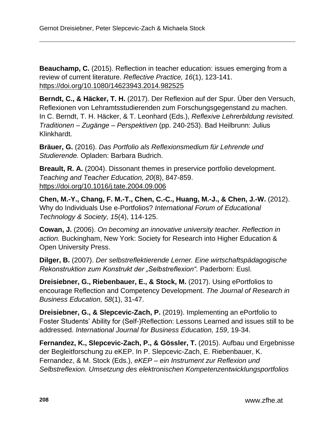**Beauchamp, C.** (2015). Reflection in teacher education: issues emerging from a review of current literature. *Reflective Practice, 16*(1), 123-141. <https://doi.org/10.1080/14623943.2014.982525>

**Berndt, C., & Häcker, T. H.** (2017). Der Reflexion auf der Spur. Über den Versuch, Reflexionen von Lehramtsstudierenden zum Forschungsgegenstand zu machen. In C. Berndt, T. H. Häcker, & T. Leonhard (Eds.), *Reflexive Lehrerbildung revisited. Traditionen – Zugänge – Perspektiven* (pp. 240-253). Bad Heilbrunn: Julius Klinkhardt.

**Bräuer, G.** (2016). *Das Portfolio als Reflexionsmedium für Lehrende und Studierende.* Opladen: Barbara Budrich.

**Breault, R. A.** (2004). Dissonant themes in preservice portfolio development. *Teaching and Teacher Education, 20*(8), 847-859. <https://doi.org/10.1016/j.tate.2004.09.006>

**Chen, M.-Y., Chang, F. M.-T., Chen, C.-C., Huang, M.-J., & Chen, J.-W.** (2012). Why do Individuals Use e-Portfolios? *International Forum of Educational Technology & Society, 15*(4), 114-125.

**Cowan, J.** (2006). *On becoming an innovative university teacher. Reflection in action.* Buckingham, New York: Society for Research into Higher Education & Open University Press.

**Dilger, B.** (2007). *Der selbstreflektierende Lerner. Eine wirtschaftspädagogische Rekonstruktion zum Konstrukt der "Selbstreflexion".* Paderborn: Eusl.

**Dreisiebner, G., Riebenbauer, E., & Stock, M.** (2017). Using ePortfolios to encourage Reflection and Competency Development. *The Journal of Research in Business Education, 58*(1), 31-47.

**Dreisiebner, G., & Slepcevic-Zach, P.** (2019). Implementing an ePortfolio to Foster Students' Ability for (Self-)Reflection: Lessons Learned and issues still to be addressed. *International Journal for Business Education, 159*, 19-34.

**Fernandez, K., Slepcevic-Zach, P., & Gössler, T.** (2015). Aufbau und Ergebnisse der Begleitforschung zu eKEP. In P. Slepcevic-Zach, E. Riebenbauer, K. Fernandez, & M. Stock (Eds.), *eKEP – ein Instrument zur Reflexion und Selbstreflexion. Umsetzung des elektronischen Kompetenzentwicklungsportfolios*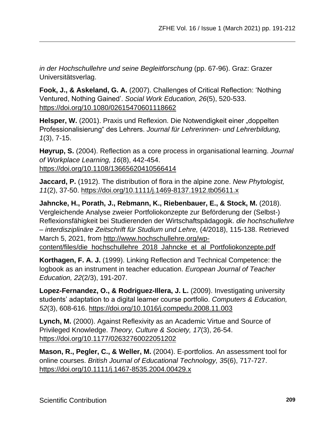*in der Hochschullehre und seine Begleitforschung* (pp. 67-96). Graz: Grazer Universitätsverlag.

**Fook, J., & Askeland, G. A.** (2007). Challenges of Critical Reflection: 'Nothing Ventured, Nothing Gained'. *Social Work Education, 26*(5), 520-533. <https://doi.org/10.1080/02615470601118662>

**Helsper, W.** (2001). Praxis und Reflexion. Die Notwendigkeit einer "doppelten Professionalisierung" des Lehrers. *Journal für Lehrerinnen- und Lehrerbildung, 1*(3), 7-15.

**Høyrup, S.** (2004). Reflection as a core process in organisational learning. *Journal of Workplace Learning, 16*(8), 442-454. <https://doi.org/10.1108/13665620410566414>

**Jaccard, P.** (1912). The distribution of flora in the alpine zone. *New Phytologist, 11*(2), 37-50[. https://doi.org/10.1111/j.1469-8137.1912.tb05611.x](https://doi.org/10.1111/j.1469-8137.1912.tb05611.x)

**Jahncke, H., Porath, J., Rebmann, K., Riebenbauer, E., & Stock, M.** (2018). Vergleichende Analyse zweier Portfoliokonzepte zur Beförderung der (Selbst-) Reflexionsfähigkeit bei Studierenden der Wirtschaftspädagogik. *die hochschullehre – interdisziplinäre Zeitschrift für Studium und Lehre,* (4/2018), 115-138. Retrieved March 5, 2021, from [http://www.hochschullehre.org/wp](http://www.hochschullehre.org/wp-content/files/die_hochschullehre_2018_Jahncke_et_al_Portfoliokonzepte.pdf)[content/files/die\\_hochschullehre\\_2018\\_Jahncke\\_et\\_al\\_Portfoliokonzepte.pdf](http://www.hochschullehre.org/wp-content/files/die_hochschullehre_2018_Jahncke_et_al_Portfoliokonzepte.pdf)

**Korthagen, F. A. J.** (1999). Linking Reflection and Technical Competence: the logbook as an instrument in teacher education. *European Journal of Teacher Education, 22*(2/3), 191-207.

**Lopez-Fernandez, O., & Rodriguez-Illera, J. L.** (2009). Investigating university students' adaptation to a digital learner course portfolio. *Computers & Education, 52*(3), 608-616.<https://doi.org/10.1016/j.compedu.2008.11.003>

**Lynch, M.** (2000). Against Reflexivity as an Academic Virtue and Source of Privileged Knowledge. *Theory, Culture & Society, 17*(3), 26-54. <https://doi.org/10.1177/02632760022051202>

**Mason, R., Pegler, C., & Weller, M.** (2004). E-portfolios. An assessment tool for online courses. *British Journal of Educational Technology, 35*(6), 717-727. <https://doi.org/10.1111/j.1467-8535.2004.00429.x>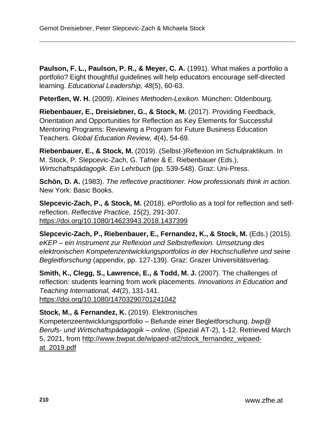**Paulson, F. L., Paulson, P. R., & Meyer, C. A.** (1991). What makes a portfolio a portfolio? Eight thoughtful guidelines will help educators encourage self-directed learning. *Educational Leadership, 48*(5), 60-63.

**Peterßen, W. H.** (2009). *Kleines Methoden-Lexikon.* München: Oldenbourg.

**Riebenbauer, E., Dreisiebner, G., & Stock, M.** (2017). Providing Feedback, Orientation and Opportunities for Reflection as Key Elements for Successful Mentoring Programs: Reviewing a Program for Future Business Education Teachers. *Global Education Review, 4*(4), 54-69.

**Riebenbauer, E., & Stock, M.** (2019). (Selbst-)Reflexion im Schulpraktikum. In M. Stock, P. Slepcevic-Zach, G. Tafner & E. Riebenbauer (Eds.), *Wirtschaftspädagogik. Ein Lehrbuch* (pp. 539-548). Graz: Uni-Press.

**Schön, D. A.** (1983). *The reflective practitioner. How professionals think in action.*  New York: Basic Books.

**Slepcevic-Zach, P., & Stock, M.** (2018). ePortfolio as a tool for reflection and selfreflection. *Reflective Practice, 15*(2), 291-307. <https://doi.org/10.1080/14623943.2018.1437399>

**Slepcevic-Zach, P., Riebenbauer, E., Fernandez, K., & Stock, M.** (Eds.) (2015). *eKEP – ein Instrument zur Reflexion und Selbstreflexion. Umsetzung des elektronischen Kompetenzentwicklungsportfolios in der Hochschullehre und seine Begleitforschung* (appendix, pp. 127-139). Graz: Grazer Universitätsverlag.

**Smith, K., Clegg, S., Lawrence, E., & Todd, M. J.** (2007). The challenges of reflection: students learning from work placements. *Innovations in Education and Teaching International, 44*(2), 131-141. <https://doi.org/10.1080/14703290701241042>

**Stock, M., & Fernandez, K.** (2019). Elektronisches Kompetenzeentwicklungsportfolio – Befunde einer Begleitforschung. *bwp@ Berufs- und Wirtschaftspädagogik – online,* (Spezial AT-2), 1-12. Retrieved March 5, 2021, from [http://www.bwpat.de/wipaed-at2/stock\\_fernandez\\_wipaed](http://www.bwpat.de/wipaed-at2/stock_fernandez_wipaed-at_2019.pdf)[at\\_2019.pdf](http://www.bwpat.de/wipaed-at2/stock_fernandez_wipaed-at_2019.pdf)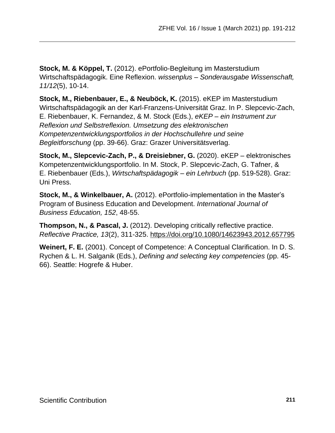**Stock, M. & Köppel, T.** (2012). ePortfolio-Begleitung im Masterstudium Wirtschaftspädagogik. Eine Reflexion. *wissenplus – Sonderausgabe Wissenschaft, 11/12*(5), 10-14.

**Stock, M., Riebenbauer, E., & Neuböck, K.** (2015). eKEP im Masterstudium Wirtschaftspädagogik an der Karl-Franzens-Universität Graz. In P. Slepcevic-Zach, E. Riebenbauer, K. Fernandez, & M. Stock (Eds.), *eKEP – ein Instrument zur Reflexion und Selbstreflexion. Umsetzung des elektronischen Kompetenzentwicklungsportfolios in der Hochschullehre und seine Begleitforschung* (pp. 39-66). Graz: Grazer Universitätsverlag.

**Stock, M., Slepcevic-Zach, P., & Dreisiebner, G.** (2020). eKEP – elektronisches Kompetenzentwicklungsportfolio. In M. Stock, P. Slepcevic-Zach, G. Tafner, & E. Riebenbauer (Eds.), *Wirtschaftspädagogik – ein Lehrbuch* (pp. 519-528). Graz: Uni Press.

**Stock, M., & Winkelbauer, A.** (2012). ePortfolio-implementation in the Master's Program of Business Education and Development. *International Journal of Business Education, 152*, 48-55.

**Thompson, N., & Pascal, J.** (2012). Developing critically reflective practice. *Reflective Practice, 13*(2), 311-325.<https://doi.org/10.1080/14623943.2012.657795>

**Weinert, F. E.** (2001). Concept of Competence: A Conceptual Clarification. In D. S. Rychen & L. H. Salganik (Eds.), *Defining and selecting key competencies* (pp. 45- 66). Seattle: Hogrefe & Huber.